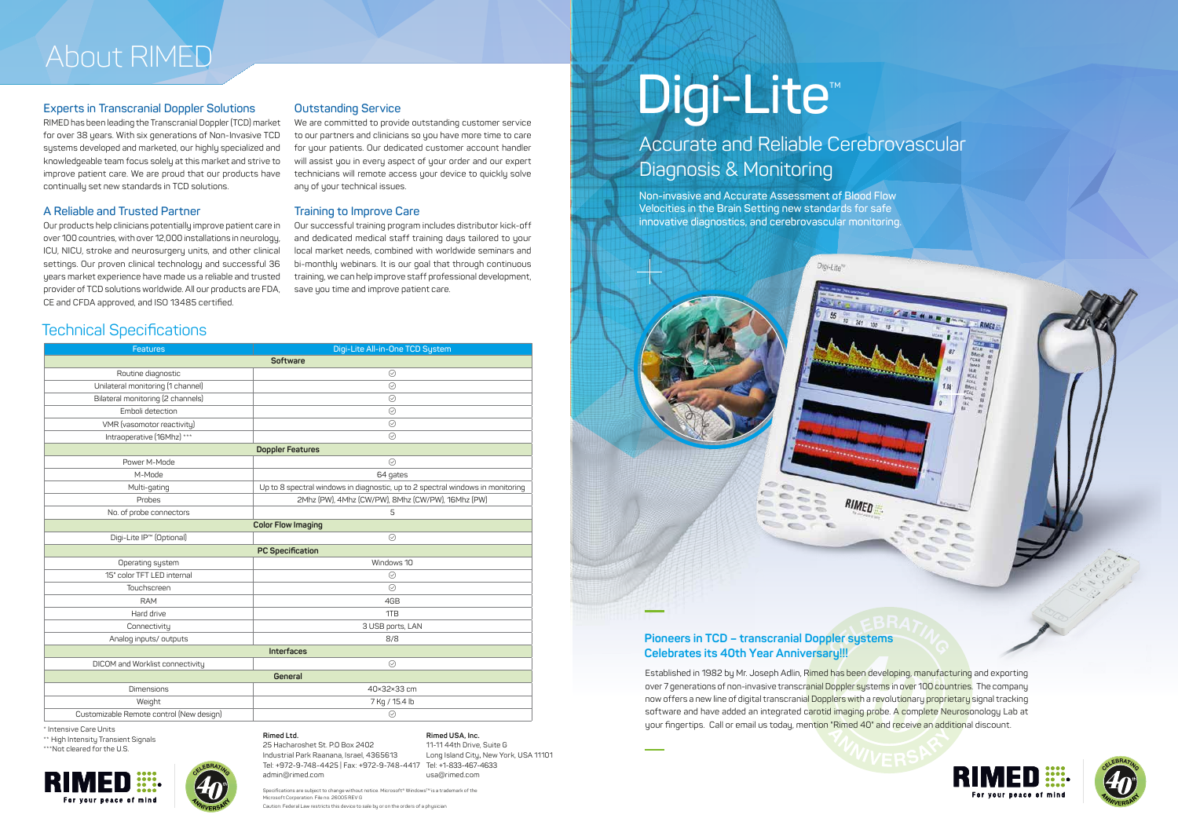**Rimed Ltd.**  25 Hacharoshet St. P.O Box 2402 Industrial Park Raanana, Israel, 4365613 Tel: +972-9-748-4425 | Fax: +972-9-748-4417 Tel: +1-833-467-4633 admin@rimed.com

**Rimed USA, Inc.** 11-11 44th Drive, Suite G Long Island City, New York, USA 11101 usa@rimed.com

Specifications are subject to change without notice. Microsoft® Windows™ is a trademark of the<br>Microsoft Corporation. File no. 26005 REV G

n: Federal Law restricts this device to sale by or on the orders of a phys







\*\* High Intensity Transient Signals \*\*\*Not cleared for the U.S.





#### **Experts in Transcranial Doppler Solutions**

RIMED has been leading the Transcranial Doppler (TCD) market for over 38 years. With six generations of Non-Invasive TCD systems developed and marketed, our highly specialized and knowledgeable team focus solely at this market and strive to improve patient care. We are proud that our products have continually set new standards in TCD solutions.

> Our successful training program includes distributor kick-off and dedicated medical staff training days tailored to your local market needs, combined with worldwide seminars and bi-monthly webinars. It is our goal that through continuous training, we can help improve staff professional development, save you time and improve patient care.

#### **A Reliable and Trusted Partner**

Our products help clinicians potentially improve patient care in over 100 countries, with over 12,000 installations in neurology, ICU, NICU, stroke and neurosurgery units, and other clinical settings. Our proven clinical technology and successful 36 years market experience have made us a reliable and trusted provider of TCD solutions worldwide. All our products are FDA, CE and CFDA approved, and ISO 13485 certified.

#### **Outstanding Service**

We are committed to provide outstanding customer service to our partners and clinicians so you have more time to care for your patients. Our dedicated customer account handler will assist you in every aspect of your order and our expert technicians will remote access your device to quickly solve any of your technical issues.

| <b>Features</b>                          | Digi-Lite All-in-One TCD System                                                                                                                                                                                                      |
|------------------------------------------|--------------------------------------------------------------------------------------------------------------------------------------------------------------------------------------------------------------------------------------|
| <b>Software</b>                          |                                                                                                                                                                                                                                      |
| Routine diagnostic                       | $\odot$                                                                                                                                                                                                                              |
| Unilateral monitoring (1 channel)        | $\odot$                                                                                                                                                                                                                              |
| Bilateral monitoring (2 channels)        | $\odot$                                                                                                                                                                                                                              |
| Emboli detection                         | $\odot$                                                                                                                                                                                                                              |
| VMR (vasomotor reactivity)               | $\odot$                                                                                                                                                                                                                              |
| Intraoperative (16Mhz) ***               | $\odot$                                                                                                                                                                                                                              |
| <b>Doppler Features</b>                  |                                                                                                                                                                                                                                      |
| Power M-Mode                             | $\odot$                                                                                                                                                                                                                              |
| M-Mode                                   | 64 gates                                                                                                                                                                                                                             |
| Multi-gating                             | Up to 8 spectral windows in diagnostic, up to 2 spectral windows in monitoring                                                                                                                                                       |
| Probes                                   | 2Mhz (PW), 4Mhz (CW/PW), 8Mhz (CW/PW), 16Mhz (PW)                                                                                                                                                                                    |
| No. of probe connectors                  | 5                                                                                                                                                                                                                                    |
| <b>Color Flow Imaging</b>                |                                                                                                                                                                                                                                      |
| Digi-Lite IP <sup>™</sup> (Optional)     | $\odot$                                                                                                                                                                                                                              |
| <b>PC Specification</b>                  |                                                                                                                                                                                                                                      |
| Operating system                         | Windows 10                                                                                                                                                                                                                           |
| 15" color TFT LED internal               | $\odot$                                                                                                                                                                                                                              |
| <b>Touchscreen</b>                       | $\circ$                                                                                                                                                                                                                              |
| <b>RAM</b>                               | 4GB                                                                                                                                                                                                                                  |
| Hard drive                               | 1TB                                                                                                                                                                                                                                  |
| Connectivity                             | 3 USB ports, LAN                                                                                                                                                                                                                     |
| Analog inputs/outputs                    | 8/8                                                                                                                                                                                                                                  |
|                                          | <b>Interfaces</b>                                                                                                                                                                                                                    |
| <b>DICOM</b> and Worklist connectivity   | $\odot$                                                                                                                                                                                                                              |
| General                                  |                                                                                                                                                                                                                                      |
| <b>Dimensions</b>                        | 40×32×33 cm                                                                                                                                                                                                                          |
| Weight                                   | 7 Kg / 15.4 lb                                                                                                                                                                                                                       |
| Customizable Remote control (New design) | $\odot$                                                                                                                                                                                                                              |
| * Intensive Care Units                   | <b>Profit Contract Contract Contract Contract Contract Contract Contract Contract Contract Contract Contract Contract Contract Contract Contract Contract Contract Contract Contract Contract Contract Contract Contract Contrac</b> |

# Digi-Lite<sup>®</sup>

#### **Training to Improve Care**

### About RIMED

#### Technical Specifications

Accurate and Reliable Cerebrovascular Diagnosis & Monitoring

**Non-invasive and Accurate Assessment of Blood Flow Velocities in the Brain Setting new standards for safe innovative diagnostics, and cerebrovascular monitoring.** 



Established in 1982 by Mr. Joseph Adlin, Rimed has been developing, manufacturing and exporting over 7 generations of non-invasive transcranial Doppler systems in over 100 countries. The company now offers a new line of digital transcranial Dopplers with a revolutionary proprietary signal tracking software and have added an integrated carotid imaging probe. A complete Neurosonology Lab at your fingertips. Call or email us today, mention "Rimed 40" and receive an additional discount.

#### **Pioneers in TCD – transcranial Doppler systems Celebrates its 40th Year Anniversary!!!**